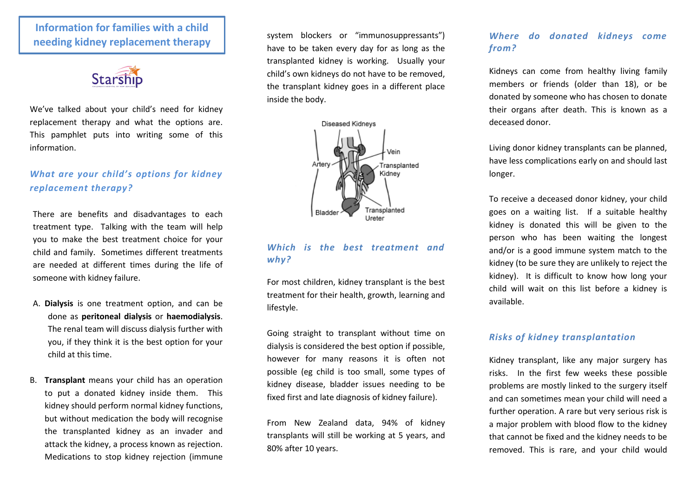# **Information for families with a child needing kidney replacement therapy**



We've talked about your child's need for kidney replacement therapy and what the options are. This pamphlet puts into writing some of this information.

# *What are your child's options for kidney replacement therapy?*

There are benefits and disadvantages to each treatment type. Talking with the team will help you to make the best treatment choice for your child and family. Sometimes different treatments are needed at different times during the life of someone with kidney failure.

- A. **Dialysis** is one treatment option, and can be done as **peritoneal dialysis** or **haemodialysis**. The renal team will discuss dialysis further with you, if they think it is the best option for your child at this time.
- B. **Transplant** means your child has an operation to put a donated kidney inside them. This kidney should perform normal kidney functions, but without medication the body will recognise the transplanted kidney as an invader and attack the kidney, a process known as rejection. Medications to stop kidney rejection (immune

system blockers or "immunosuppressants") have to be taken every day for as long as the transplanted kidney is working. Usually your child's own kidneys do not have to be removed, the transplant kidney goes in a different place inside the body.



### *Which is the best treatment and why?*

For most children, kidney transplant is the best treatment for their health, growth, learning and lifestyle.

Going straight to transplant without time on dialysis is considered the best option if possible, however for many reasons it is often not possible (eg child is too small, some types of kidney disease, bladder issues needing to be fixed first and late diagnosis of kidney failure).

From New Zealand data, 94% of kidney transplants will still be working at 5 years, and 80% after 10 years.

## *Where do donated kidneys come from?*

Kidneys can come from healthy living family members or friends (older than 18), or be donated by someone who has chosen to donate their organs after death. This is known as a deceased donor.

Living donor kidney transplants can be planned, have less complications early on and should last longer.

To receive a deceased donor kidney, your child goes on a waiting list. If a suitable healthy kidney is donated this will be given to the person who has been waiting the longest and/or is a good immune system match to the kidney (to be sure they are unlikely to reject the kidney). It is difficult to know how long your child will wait on this list before a kidney is available.

#### *Risks of kidney transplantation*

Kidney transplant, like any major surgery has risks. In the first few weeks these possible problems are mostly linked to the surgery itself and can sometimes mean your child will need a further operation. A rare but very serious risk is a major problem with blood flow to the kidney that cannot be fixed and the kidney needs to be removed. This is rare, and your child would